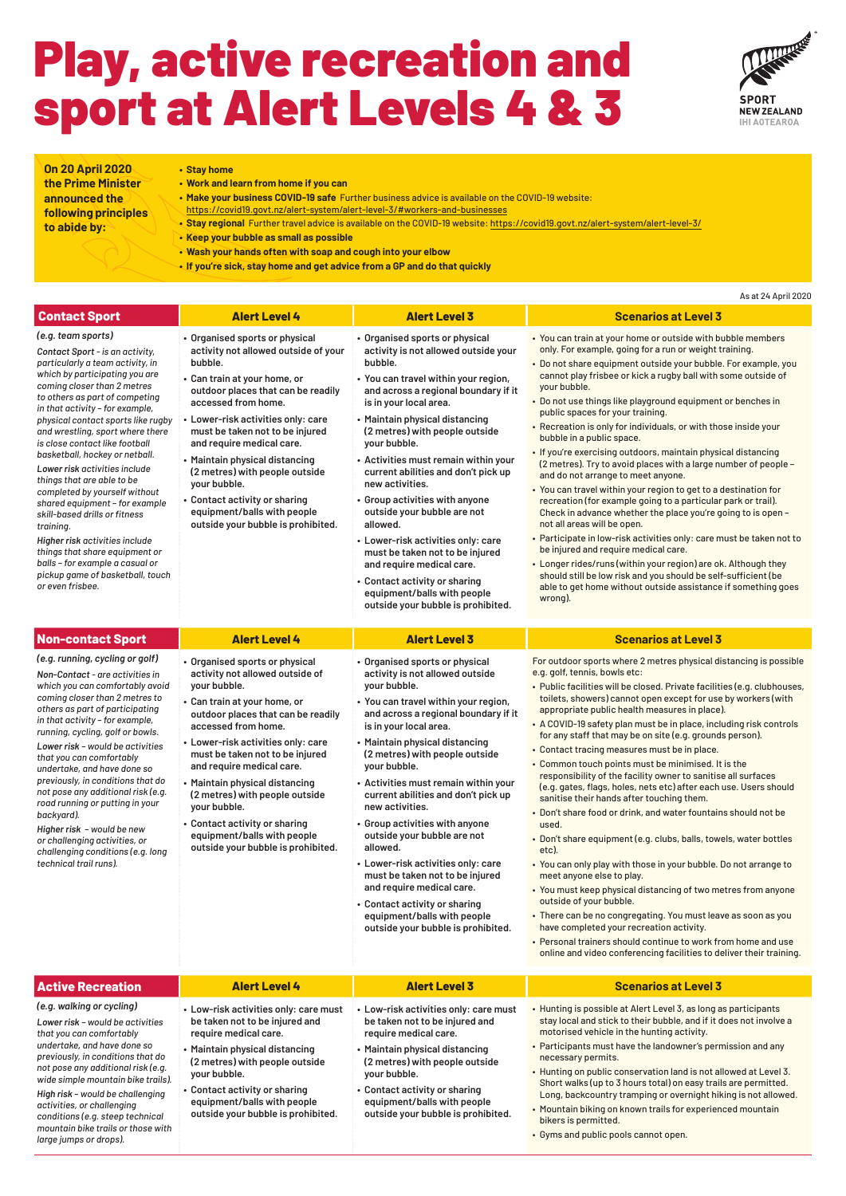## Play, active recreation and sport at Alert Levels 4 & 3



| <b>Contact Sport</b>                                                                                                                                                                                                                                                                                                                                                                                                                                                                                                                                                                                                                                                                                                         | <b>Alert Level 4</b>                                                                                                                                                                                                                                                                                                                                                                                                                                                           | <b>Alert Level 3</b>                                                                                                                                                                                                                                                                                                                                                                                                                                                                                                                                                                                                                                                       | <b>Scenarios at Level 3</b>                                                                                                                                                                                                                                                                                                                                                                                                                                                                                                                                                                                                                                                                                                                                                                                                                                                                                                                                                                                                                                                                                                                                                                                              |
|------------------------------------------------------------------------------------------------------------------------------------------------------------------------------------------------------------------------------------------------------------------------------------------------------------------------------------------------------------------------------------------------------------------------------------------------------------------------------------------------------------------------------------------------------------------------------------------------------------------------------------------------------------------------------------------------------------------------------|--------------------------------------------------------------------------------------------------------------------------------------------------------------------------------------------------------------------------------------------------------------------------------------------------------------------------------------------------------------------------------------------------------------------------------------------------------------------------------|----------------------------------------------------------------------------------------------------------------------------------------------------------------------------------------------------------------------------------------------------------------------------------------------------------------------------------------------------------------------------------------------------------------------------------------------------------------------------------------------------------------------------------------------------------------------------------------------------------------------------------------------------------------------------|--------------------------------------------------------------------------------------------------------------------------------------------------------------------------------------------------------------------------------------------------------------------------------------------------------------------------------------------------------------------------------------------------------------------------------------------------------------------------------------------------------------------------------------------------------------------------------------------------------------------------------------------------------------------------------------------------------------------------------------------------------------------------------------------------------------------------------------------------------------------------------------------------------------------------------------------------------------------------------------------------------------------------------------------------------------------------------------------------------------------------------------------------------------------------------------------------------------------------|
| (e.g. team sports)<br>Contact Sport - is an activity,<br>particularly a team activity, in<br>which by participating you are<br>coming closer than 2 metres<br>to others as part of competing<br>in that activity - for example,<br>physical contact sports like rugby<br>and wrestling, sport where there<br>is close contact like football<br>basketball, hockey or netball.<br>Lower risk activities include<br>things that are able to be<br>completed by yourself without<br>shared equipment - for example<br>skill-based drills or fitness<br>training.<br>Higher risk activities include<br>things that share equipment or<br>balls - for example a casual or<br>pickup game of basketball, touch<br>or even frisbee. | • Organised sports or physical<br>activity not allowed outside of your<br>bubble.<br>• Can train at your home, or<br>outdoor places that can be readily<br>accessed from home.<br>• Lower-risk activities only: care<br>must be taken not to be injured<br>and require medical care.<br>• Maintain physical distancing<br>(2 metres) with people outside<br>your bubble.<br>• Contact activity or sharing<br>equipment/balls with people<br>outside your bubble is prohibited. | • Organised sports or physical<br>activity is not allowed outside your<br>bubble.<br>• You can travel within your region,<br>and across a regional boundary if it<br>is in your local area.<br>• Maintain physical distancing<br>(2 metres) with people outside<br>your bubble.<br>• Activities must remain within your<br>current abilities and don't pick up<br>new activities.<br>• Group activities with anyone<br>outside your bubble are not<br>allowed.<br>• Lower-risk activities only: care<br>must be taken not to be injured<br>and require medical care.<br>• Contact activity or sharing<br>equipment/balls with people<br>outside your bubble is prohibited. | • You can train at your home or outside with bubble members<br>only. For example, going for a run or weight training.<br>• Do not share equipment outside your bubble. For example, you<br>cannot play frisbee or kick a rugby ball with some outside of<br>your bubble.<br>• Do not use things like playground equipment or benches in<br>public spaces for your training.<br>• Recreation is only for individuals, or with those inside your<br>bubble in a public space.<br>• If you're exercising outdoors, maintain physical distancing<br>(2 metres). Try to avoid places with a large number of people -<br>and do not arrange to meet anyone.<br>• You can travel within your region to get to a destination for<br>recreation (for example going to a particular park or trail).<br>Check in advance whether the place you're going to is open -<br>not all areas will be open.<br>• Participate in low-risk activities only: care must be taken not to<br>be injured and require medical care.<br>• Longer rides/runs (within your region) are ok. Although they<br>should still be low risk and you should be self-sufficient (be<br>able to get home without outside assistance if something goes<br>wrong). |
| <b>Non-contact Sport</b>                                                                                                                                                                                                                                                                                                                                                                                                                                                                                                                                                                                                                                                                                                     | <b>Alert Level 4</b>                                                                                                                                                                                                                                                                                                                                                                                                                                                           | <b>Alert Level 3</b>                                                                                                                                                                                                                                                                                                                                                                                                                                                                                                                                                                                                                                                       | <b>Scenarios at Level 3</b>                                                                                                                                                                                                                                                                                                                                                                                                                                                                                                                                                                                                                                                                                                                                                                                                                                                                                                                                                                                                                                                                                                                                                                                              |
| (e.g. running, cycling or golf)<br>Non-Contact - are activities in<br>which you can comfortably avoid<br>coming closer than 2 metres to<br>others as part of participating<br>in that activity - for example,<br>running, cycling, golf or bowls.<br>Lower risk - would be activities<br>that you can comfortably<br>undertake, and have done so<br>previously, in conditions that do<br>not pose any additional risk (e.g.<br>road running or putting in your<br>backyard).<br>Higher risk - would be new<br>or challenging activities, or<br>challenging conditions (e.g. long                                                                                                                                             | • Organised sports or physical<br>activity not allowed outside of<br>your bubble.<br>• Can train at your home, or<br>outdoor places that can be readily<br>accessed from home.<br>• Lower-risk activities only: care<br>must be taken not to be injured<br>and require medical care.<br>• Maintain physical distancing<br>(2 metres) with people outside<br>your bubble.<br>• Contact activity or sharing<br>equipment/balls with people<br>outside your bubble is prohibited. | • Organised sports or physical<br>activity is not allowed outside<br>your bubble.<br>• You can travel within your region,<br>and across a regional boundary if it<br>is in your local area.<br>• Maintain physical distancing<br>(2 metres) with people outside<br>your bubble.<br>• Activities must remain within your<br>current abilities and don't pick up<br>new activities.<br>• Group activities with anyone<br>outside your bubble are not<br>allowed.                                                                                                                                                                                                             | For outdoor sports where 2 metres physical distancing is possible<br>e.g. golf, tennis, bowls etc:<br>• Public facilities will be closed. Private facilities (e.g. clubhouses,<br>toilets, showers) cannot open except for use by workers (with<br>appropriate public health measures in place).<br>• A COVID-19 safety plan must be in place, including risk controls<br>for any staff that may be on site (e.g. grounds person).<br>• Contact tracing measures must be in place.<br>• Common touch points must be minimised. It is the<br>responsibility of the facility owner to sanitise all surfaces<br>(e.g. gates, flags, holes, nets etc) after each use. Users should<br>sanitise their hands after touching them.<br>• Don't share food or drink, and water fountains should not be<br>used.<br>· Don't share equipment (e.g. clubs, balls, towels, water bottles                                                                                                                                                                                                                                                                                                                                              |

**must be taken not to be injured and require medical care.**

meet anyone else to play.

• You must keep physical distancing of two metres from anyone outside of your bubble.

|                                                                                                                                                                                                                                                                                                                                                                                                                 |                                                                                                                                                                                                                                                                                            | • Contact activity or sharing<br>equipment/balls with people<br>outside your bubble is prohibited.                                                                                                                                                                                         | outside of your bubble.<br>• There can be no congregating. You must leave as soon as you<br>have completed your recreation activity.<br>• Personal trainers should continue to work from home and use<br>online and video conferencing facilities to deliver their training.                                                                                                                                                                                                                                                                                                                                    |
|-----------------------------------------------------------------------------------------------------------------------------------------------------------------------------------------------------------------------------------------------------------------------------------------------------------------------------------------------------------------------------------------------------------------|--------------------------------------------------------------------------------------------------------------------------------------------------------------------------------------------------------------------------------------------------------------------------------------------|--------------------------------------------------------------------------------------------------------------------------------------------------------------------------------------------------------------------------------------------------------------------------------------------|-----------------------------------------------------------------------------------------------------------------------------------------------------------------------------------------------------------------------------------------------------------------------------------------------------------------------------------------------------------------------------------------------------------------------------------------------------------------------------------------------------------------------------------------------------------------------------------------------------------------|
| <b>Active Recreation</b>                                                                                                                                                                                                                                                                                                                                                                                        | <b>Alert Level 4</b>                                                                                                                                                                                                                                                                       | <b>Alert Level 3</b>                                                                                                                                                                                                                                                                       | <b>Scenarios at Level 3</b>                                                                                                                                                                                                                                                                                                                                                                                                                                                                                                                                                                                     |
| (e.g. walking or cycling)<br>Lower risk – would be activities<br>that you can comfortably<br>undertake, and have done so<br>previously, in conditions that do<br>not pose any additional risk (e.g.<br>wide simple mountain bike trails).<br>High risk - would be challenging<br>activities, or challenging<br>conditions (e.g. steep technical<br>mountain bike trails or those with<br>large jumps or drops). | • Low-risk activities only: care must<br>be taken not to be injured and<br>require medical care.<br>• Maintain physical distancing<br>(2 metres) with people outside<br>your bubble.<br>• Contact activity or sharing<br>equipment/balls with people<br>outside your bubble is prohibited. | • Low-risk activities only: care must<br>be taken not to be injured and<br>require medical care.<br>• Maintain physical distancing<br>(2 metres) with people outside<br>your bubble.<br>• Contact activity or sharing<br>equipment/balls with people<br>outside your bubble is prohibited. | • Hunting is possible at Alert Level 3, as long as participants<br>stay local and stick to their bubble, and if it does not involve a<br>motorised vehicle in the hunting activity.<br>• Participants must have the landowner's permission and any<br>necessary permits.<br>. Hunting on public conservation land is not allowed at Level 3.<br>Short walks (up to 3 hours total) on easy trails are permitted.<br>Long, backcountry tramping or overnight hiking is not allowed.<br>• Mountain biking on known trails for experienced mountain<br>bikers is permitted.<br>• Gyms and public pools cannot open. |

**On 20 April 2020 the Prime Minister announced the following principles to abide by:**

- **• Stay home**
- **• Work and learn from home if you can**
- **• Make your business COVID-19 safe** Further business advice is available on the COVID-19 website: <https://covid19.govt.nz/alert-system/alert-level-3/#workers-and-businesses>
- **• Stay regional** Further travel advice is available on the COVID-19 website:<https://covid19.govt.nz/alert-system/alert-level-3/>
- **• Keep your bubble as small as possible**
- **• Wash your hands often with soap and cough into your elbow**
- **• If you're sick, stay home and get advice from a GP and do that quickly**

As at 24 April 2020